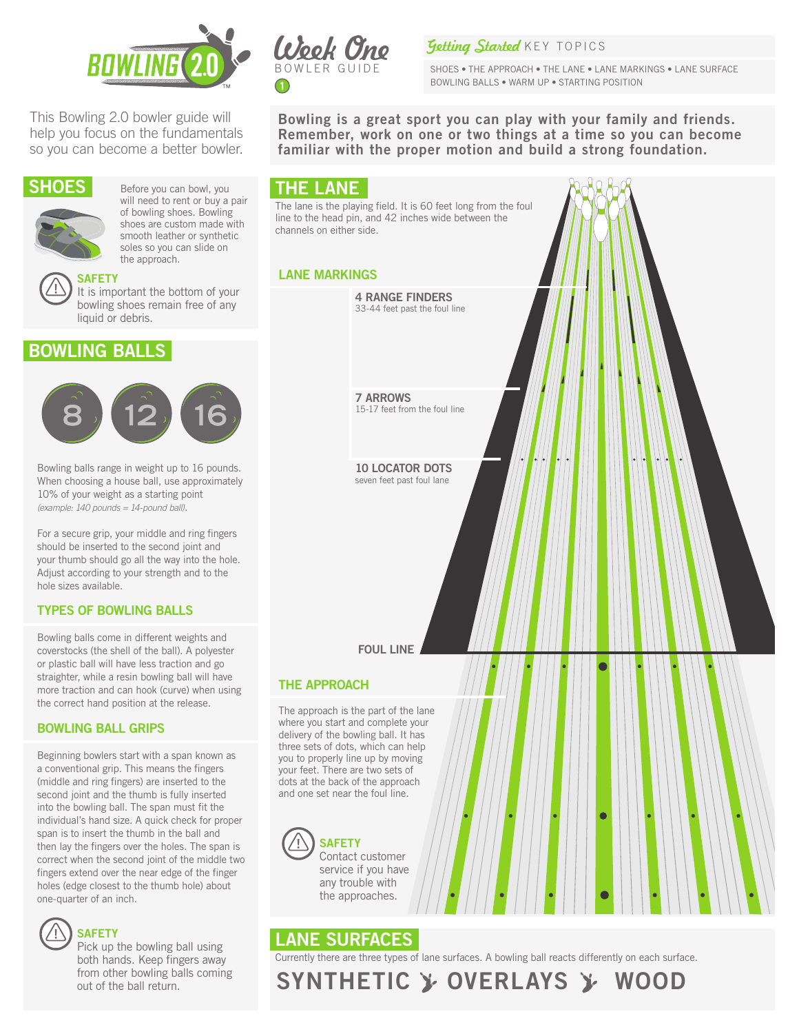

This Bowling 2.0 bowler guide will help you focus on the fundamentals so you can become a better bowler.



will need to rent or buy a pair of bowling shoes. Bowling shoes are custom made with smooth leather or synthetic soles so you can slide on the approach.



It is important the bottom of your bowling shoes remain free of any liquid or debris.

## BOWLING BALLS



Bowling balls range in weight up to 16 pounds. When choosing a house ball, use approximately 10% of your weight as a starting point *(example: 140 pounds = 14-pound ball)*.

For a secure grip, your middle and ring fingers should be inserted to the second joint and your thumb should go all the way into the hole. Adjust according to your strength and to the hole sizes available.

### TYPES OF BOWLING BALLS

Bowling balls come in different weights and coverstocks (the shell of the ball). A polyester or plastic ball will have less traction and go straighter, while a resin bowling ball will have more traction and can hook (curve) when using the correct hand position at the release.

### BOWLING BALL GRIPS

Beginning bowlers start with a span known as a conventional grip. This means the fingers (middle and ring fingers) are inserted to the second joint and the thumb is fully inserted into the bowling ball. The span must fit the individual's hand size. A quick check for proper span is to insert the thumb in the ball and then lay the fingers over the holes. The span is correct when the second joint of the middle two fingers extend over the near edge of the finger holes (edge closest to the thumb hole) about one-quarter of an inch.



### **SAFETY**

Pick up the bowling ball using both hands. Keep fingers away from other bowling balls coming out of the ball return.



### Getting Started KEY TOPICS

SHOES • THE APPROACH • THE LANE • LANE MARKINGS • LANE SURFACE BOWLING BALLS • WARM UP • STARTING POSITION

Bowling is a great sport you can play with your family and friends. Remember, work on one or two things at a time so you can become familiar with the proper motion and build a strong foundation.



# LANE SURFACES

Currently there are three types of lane surfaces. A bowling ball reacts differently on each surface.

SYNTHETIC & OVERLAYS & WOOD